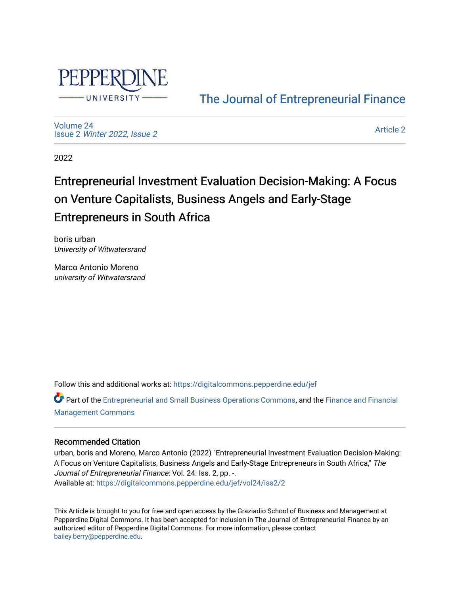

## [The Journal of Entrepreneurial Finance](https://digitalcommons.pepperdine.edu/jef)

[Volume 24](https://digitalcommons.pepperdine.edu/jef/vol24) Issue 2 [Winter 2022, Issue 2](https://digitalcommons.pepperdine.edu/jef/vol24/iss2) 

[Article 2](https://digitalcommons.pepperdine.edu/jef/vol24/iss2/2) 

2022

# Entrepreneurial Investment Evaluation Decision-Making: A Focus on Venture Capitalists, Business Angels and Early-Stage Entrepreneurs in South Africa

boris urban University of Witwatersrand

Marco Antonio Moreno university of Witwatersrand

Follow this and additional works at: [https://digitalcommons.pepperdine.edu/jef](https://digitalcommons.pepperdine.edu/jef?utm_source=digitalcommons.pepperdine.edu%2Fjef%2Fvol24%2Fiss2%2F2&utm_medium=PDF&utm_campaign=PDFCoverPages) 

Part of the [Entrepreneurial and Small Business Operations Commons,](http://network.bepress.com/hgg/discipline/630?utm_source=digitalcommons.pepperdine.edu%2Fjef%2Fvol24%2Fiss2%2F2&utm_medium=PDF&utm_campaign=PDFCoverPages) and the [Finance and Financial](http://network.bepress.com/hgg/discipline/631?utm_source=digitalcommons.pepperdine.edu%2Fjef%2Fvol24%2Fiss2%2F2&utm_medium=PDF&utm_campaign=PDFCoverPages)  [Management Commons](http://network.bepress.com/hgg/discipline/631?utm_source=digitalcommons.pepperdine.edu%2Fjef%2Fvol24%2Fiss2%2F2&utm_medium=PDF&utm_campaign=PDFCoverPages)

## Recommended Citation

urban, boris and Moreno, Marco Antonio (2022) "Entrepreneurial Investment Evaluation Decision-Making: A Focus on Venture Capitalists, Business Angels and Early-Stage Entrepreneurs in South Africa," The Journal of Entrepreneurial Finance: Vol. 24: Iss. 2, pp. -. Available at: [https://digitalcommons.pepperdine.edu/jef/vol24/iss2/2](https://digitalcommons.pepperdine.edu/jef/vol24/iss2/2?utm_source=digitalcommons.pepperdine.edu%2Fjef%2Fvol24%2Fiss2%2F2&utm_medium=PDF&utm_campaign=PDFCoverPages) 

This Article is brought to you for free and open access by the Graziadio School of Business and Management at Pepperdine Digital Commons. It has been accepted for inclusion in The Journal of Entrepreneurial Finance by an authorized editor of Pepperdine Digital Commons. For more information, please contact [bailey.berry@pepperdine.edu](mailto:bailey.berry@pepperdine.edu).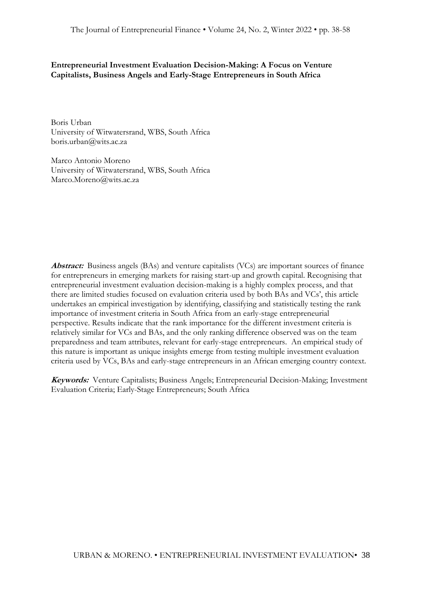**Entrepreneurial Investment Evaluation Decision-Making: A Focus on Venture Capitalists, Business Angels and Early-Stage Entrepreneurs in South Africa**

Boris Urban University of Witwatersrand, WBS, South Africa [boris.urban@wits.ac.za](mailto:boris.urban@wits.ac.za)

Marco Antonio Moreno University of Witwatersrand, WBS, South Africa [Marco.Moreno@wits.ac.za](mailto:Marco.Moreno@wits.ac.za)

**Abstract:** Business angels (BAs) and venture capitalists (VCs) are important sources of finance for entrepreneurs in emerging markets for raising start-up and growth capital. Recognising that entrepreneurial investment evaluation decision-making is a highly complex process, and that there are limited studies focused on evaluation criteria used by both BAs and VCs', this article undertakes an empirical investigation by identifying, classifying and statistically testing the rank importance of investment criteria in South Africa from an early-stage entrepreneurial perspective. Results indicate that the rank importance for the different investment criteria is relatively similar for VCs and BAs, and the only ranking difference observed was on the team preparedness and team attributes, relevant for early-stage entrepreneurs. An empirical study of this nature is important as unique insights emerge from testing multiple investment evaluation criteria used by VCs, BAs and early-stage entrepreneurs in an African emerging country context.

**Keywords:** Venture Capitalists; Business Angels; Entrepreneurial Decision-Making; Investment Evaluation Criteria; Early-Stage Entrepreneurs; South Africa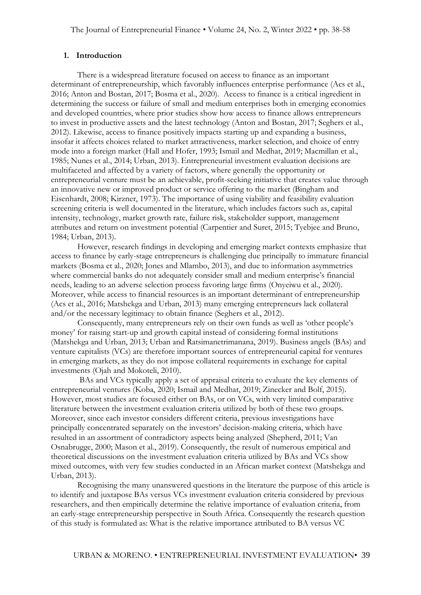#### **1. Introduction**

There is a widespread literature focused on access to finance as an important determinant of entrepreneurship, which favorably influences enterprise performance (Acs et al., 2016; Anton and Bostan, 2017; Bosma et al., 2020). Access to finance is a critical ingredient in determining the success or failure of small and medium enterprises both in emerging economies and developed countries, where prior studies show how access to finance allows entrepreneurs to invest in productive assets and the latest technology (Anton and Bostan, 2017; Seghers et al., 2012). Likewise, access to finance positively impacts starting up and expanding a business, insofar it affects choices related to market attractiveness, market selection, and choice of entry mode into a foreign market (Hall and Hofer, 1993; Ismail and Medhat, 2019; Macmillan et al., 1985; Nunes et al., 2014; Urban, 2013). Entrepreneurial investment evaluation decisions are multifaceted and affected by a variety of factors, where generally the opportunity or entrepreneurial venture must be an achievable, profit-seeking initiative that creates value through an innovative new or improved product or service offering to the market (Bingham and Eisenhardt, 2008; Kirzner, 1973). The importance of using viability and feasibility evaluation screening criteria is well documented in the literature, which includes factors such as, capital intensity, technology, market growth rate, failure risk, stakeholder support, management attributes and return on investment potential (Carpentier and Suret, 2015; Tyebjee and Bruno, 1984; Urban, 2013).

However, research findings in developing and emerging market contexts emphasize that access to finance by early-stage entrepreneurs is challenging due principally to immature financial markets (Bosma et al., 2020; Jones and Mlambo, 2013), and due to information asymmetries where commercial banks do not adequately consider small and medium enterprise's financial needs, leading to an adverse selection process favoring large firms (Onyeiwu et al., 2020). Moreover, while access to financial resources is an important determinant of entrepreneurship (Acs et al., 2016; Matshekga and Urban, 2013) many emerging entrepreneurs lack collateral and/or the necessary legitimacy to obtain finance (Seghers et al., 2012).

Consequently, many entrepreneurs rely on their own funds as well as 'other people's money' for raising start-up and growth capital instead of considering formal institutions (Matshekga and Urban, 2013; Urban and Ratsimanetrimanana, 2019). Business angels (BAs) and venture capitalists (VCs) are therefore important sources of entrepreneurial capital for ventures in emerging markets, as they do not impose collateral requirements in exchange for capital investments (Ojah and Mokoteli, 2010).

BAs and VCs typically apply a set of appraisal criteria to evaluate the key elements of entrepreneurial ventures (Koba, 2020; Ismail and Medhat, 2019; Zinecker and Bolf, 2015). However, most studies are focused either on BAs, or on VCs, with very limited comparative literature between the investment evaluation criteria utilized by both of these two groups. Moreover, since each investor considers different criteria, previous investigations have principally concentrated separately on the investors' decision-making criteria, which have resulted in an assortment of contradictory aspects being analyzed (Shepherd, 2011; Van Osnabrugge, 2000; Mason et al., 2019). Consequently, the result of numerous empirical and theoretical discussions on the investment evaluation criteria utilized by BAs and VCs show mixed outcomes, with very few studies conducted in an African market context (Matshekga and Urban, 2013).

Recognising the many unanswered questions in the literature the purpose of this article is to identify and juxtapose BAs versus VCs investment evaluation criteria considered by previous researchers, and then empirically determine the relative importance of evaluation criteria, from an early-stage entrepreneurship perspective in South Africa. Consequently the research question of this study is formulated as: What is the relative importance attributed to BA versus VC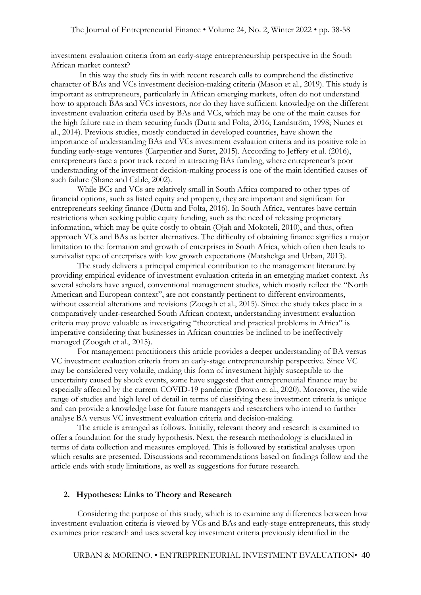investment evaluation criteria from an early-stage entrepreneurship perspective in the South African market context?

In this way the study fits in with recent research calls to comprehend the distinctive character of BAs and VCs investment decision-making criteria (Mason et al., 2019). This study is important as entrepreneurs, particularly in African emerging markets, often do not understand how to approach BAs and VCs investors, nor do they have sufficient knowledge on the different investment evaluation criteria used by BAs and VCs, which may be one of the main causes for the high failure rate in them securing funds (Dutta and Folta, 2016; Landström, 1998; Nunes et al., 2014). Previous studies, mostly conducted in developed countries, have shown the importance of understanding BAs and VCs investment evaluation criteria and its positive role in funding early-stage ventures (Carpentier and Suret, 2015). According to Jeffery et al. (2016), entrepreneurs face a poor track record in attracting BAs funding, where entrepreneur's poor understanding of the investment decision-making process is one of the main identified causes of such failure (Shane and Cable, 2002).

While BCs and VCs are relatively small in South Africa compared to other types of financial options, such as listed equity and property, they are important and significant for entrepreneurs seeking finance (Dutta and Folta, 2016). In South Africa, ventures have certain restrictions when seeking public equity funding, such as the need of releasing proprietary information, which may be quite costly to obtain (Ojah and Mokoteli, 2010), and thus, often approach VCs and BAs as better alternatives. The difficulty of obtaining finance signifies a major limitation to the formation and growth of enterprises in South Africa, which often then leads to survivalist type of enterprises with low growth expectations (Matshekga and Urban, 2013).

The study delivers a principal empirical contribution to the management literature by providing empirical evidence of investment evaluation criteria in an emerging market context. As several scholars have argued, conventional management studies, which mostly reflect the "North American and European context", are not constantly pertinent to different environments, without essential alterations and revisions (Zoogah et al., 2015). Since the study takes place in a comparatively under-researched South African context, understanding investment evaluation criteria may prove valuable as investigating "theoretical and practical problems in Africa" is imperative considering that businesses in African countries be inclined to be ineffectively managed (Zoogah et al., 2015).

For management practitioners this article provides a deeper understanding of BA versus VC investment evaluation criteria from an early-stage entrepreneurship perspective. Since VC may be considered very volatile, making this form of investment highly susceptible to the uncertainty caused by shock events, some have suggested that entrepreneurial finance may be especially affected by the current COVID-19 pandemic (Brown et al., 2020). Moreover, the wide range of studies and high level of detail in terms of classifying these investment criteria is unique and can provide a knowledge base for future managers and researchers who intend to further analyse BA versus VC investment evaluation criteria and decision-making.

The article is arranged as follows. Initially, relevant theory and research is examined to offer a foundation for the study hypothesis. Next, the research methodology is elucidated in terms of data collection and measures employed. This is followed by statistical analyses upon which results are presented. Discussions and recommendations based on findings follow and the article ends with study limitations, as well as suggestions for future research.

#### **2. Hypotheses: Links to Theory and Research**

Considering the purpose of this study, which is to examine any differences between how investment evaluation criteria is viewed by VCs and BAs and early-stage entrepreneurs, this study examines prior research and uses several key investment criteria previously identified in the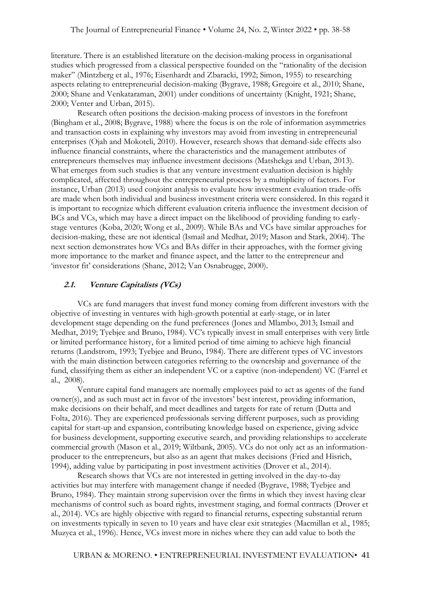literature. There is an established literature on the decision-making process in organisational studies which progressed from a classical perspective founded on the "rationality of the decision maker" (Mintzberg et al., 1976; Eisenhardt and Zbaracki, 1992; Simon, 1955) to researching aspects relating to entrepreneurial decision-making (Bygrave, 1988; Gregoire et al., 2010; Shane, 2000; Shane and Venkataraman, 2001) under conditions of uncertainty (Knight, 1921; Shane, 2000; Venter and Urban, 2015).

Research often positions the decision-making process of investors in the forefront (Bingham et al., 2008; Bygrave, 1988) where the focus is on the role of information asymmetries and transaction costs in explaining why investors may avoid from investing in entrepreneurial enterprises (Ojah and Mokoteli, 2010). However, research shows that demand-side effects also influence financial constraints, where the characteristics and the management attributes of entrepreneurs themselves may influence investment decisions (Matshekga and Urban, 2013). What emerges from such studies is that any venture investment evaluation decision is highly complicated, affected throughout the entrepreneurial process by a multiplicity of factors. For instance, Urban (2013) used conjoint analysis to evaluate how investment evaluation trade-offs are made when both individual and business investment criteria were considered. In this regard it is important to recognize which different evaluation criteria influence the investment decision of BCs and VCs, which may have a direct impact on the likelihood of providing funding to earlystage ventures (Koba, 2020; Wong et al., 2009). While BAs and VCs have similar approaches for decision-making, these are not identical (Ismail and Medhat, 2019; Mason and Stark, 2004). The next section demonstrates how VCs and BAs differ in their approaches, with the former giving more importance to the market and finance aspect, and the latter to the entrepreneur and 'investor fit' considerations (Shane, 2012; Van Osnabrugge, 2000).

#### **2.1. Venture Capitalists (VCs)**

VCs are fund managers that invest fund money coming from different investors with the objective of investing in ventures with high-growth potential at early-stage, or in later development stage depending on the fund preferences (Jones and Mlambo, 2013; Ismail and Medhat, 2019; Tyebjee and Bruno, 1984). VC's typically invest in small enterprises with very little or limited performance history, for a limited period of time aiming to achieve high financial returns (Landstrom, 1993; Tyebjee and Bruno, 1984). There are different types of VC investors with the main distinction between categories referring to the ownership and governance of the fund, classifying them as either an independent VC or a captive (non-independent) VC (Farrel et al., 2008).

Venture capital fund managers are normally employees paid to act as agents of the fund owner(s), and as such must act in favor of the investors' best interest, providing information, make decisions on their behalf, and meet deadlines and targets for rate of return (Dutta and Folta, 2016). They are experienced professionals serving different purposes, such as providing capital for start-up and expansion, contributing knowledge based on experience, giving advice for business development, supporting executive search, and providing relationships to accelerate commercial growth (Mason et al., 2019; Wiltbank, 2005). VCs do not only act as an informationproducer to the entrepreneurs, but also as an agent that makes decisions (Fried and Hisrich, 1994), adding value by participating in post investment activities (Drover et al., 2014).

Research shows that VCs are not interested in getting involved in the day-to-day activities but may interfere with management change if needed (Bygrave, 1988; Tyebjee and Bruno, 1984). They maintain strong supervision over the firms in which they invest having clear mechanisms of control such as board rights, investment staging, and formal contracts (Drover et al., 2014). VCs are highly objective with regard to financial returns, expecting substantial return on investments typically in seven to 10 years and have clear exit strategies (Macmillan et al., 1985; Muzyca et al., 1996). Hence, VCs invest more in niches where they can add value to both the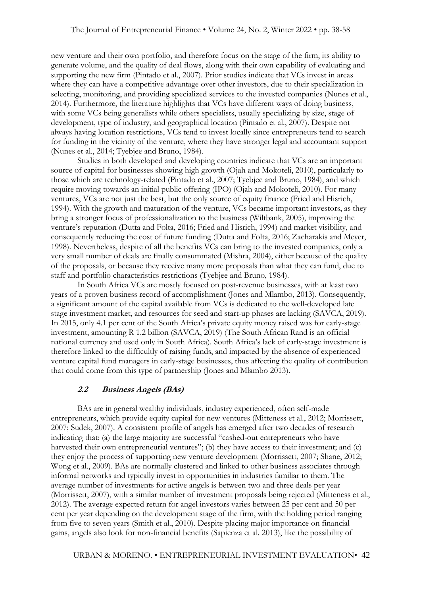new venture and their own portfolio, and therefore focus on the stage of the firm, its ability to generate volume, and the quality of deal flows, along with their own capability of evaluating and supporting the new firm (Pintado et al., 2007). Prior studies indicate that VCs invest in areas where they can have a competitive advantage over other investors, due to their specialization in selecting, monitoring, and providing specialized services to the invested companies (Nunes et al., 2014). Furthermore, the literature highlights that VCs have different ways of doing business, with some VCs being generalists while others specialists, usually specializing by size, stage of development, type of industry, and geographical location (Pintado et al., 2007). Despite not always having location restrictions, VCs tend to invest locally since entrepreneurs tend to search for funding in the vicinity of the venture, where they have stronger legal and accountant support (Nunes et al., 2014; Tyebjee and Bruno, 1984).

Studies in both developed and developing countries indicate that VCs are an important source of capital for businesses showing high growth (Ojah and Mokoteli, 2010), particularly to those which are technology-related (Pintado et al., 2007; Tyebjee and Bruno, 1984), and which require moving towards an initial public offering (IPO) (Ojah and Mokoteli, 2010). For many ventures, VCs are not just the best, but the only source of equity finance (Fried and Hisrich, 1994). With the growth and maturation of the venture, VCs became important investors, as they bring a stronger focus of professionalization to the business (Wiltbank, 2005), improving the venture's reputation (Dutta and Folta, 2016; Fried and Hisrich, 1994) and market visibility, and consequently reducing the cost of future funding (Dutta and Folta, 2016; Zacharakis and Meyer, 1998). Nevertheless, despite of all the benefits VCs can bring to the invested companies, only a very small number of deals are finally consummated (Mishra, 2004), either because of the quality of the proposals, or because they receive many more proposals than what they can fund, due to staff and portfolio characteristics restrictions (Tyebjee and Bruno, 1984).

In South Africa VCs are mostly focused on post-revenue businesses, with at least two years of a proven business record of accomplishment (Jones and Mlambo, 2013). Consequently, a significant amount of the capital available from VCs is dedicated to the well-developed late stage investment market, and resources for seed and start-up phases are lacking (SAVCA, 2019). In 2015, only 4.1 per cent of the South Africa's private equity money raised was for early-stage investment, amounting R 1.2 billion (SAVCA, 2019) (The South African Rand is an official national currency and used only in South Africa). South Africa's lack of early-stage investment is therefore linked to the difficultly of raising funds, and impacted by the absence of experienced venture capital fund managers in early-stage businesses, thus affecting the quality of contribution that could come from this type of partnership (Jones and Mlambo 2013).

#### **2.2 Business Angels (BAs)**

BAs are in general wealthy individuals, industry experienced, often self-made entrepreneurs, which provide equity capital for new ventures (Mitteness et al., 2012; Morrissett, 2007; Sudek, 2007). A consistent profile of angels has emerged after two decades of research indicating that: (a) the large majority are successful "cashed-out entrepreneurs who have harvested their own entrepreneurial ventures"; (b) they have access to their investment; and (c) they enjoy the process of supporting new venture development (Morrissett, 2007; Shane, 2012; Wong et al., 2009). BAs are normally clustered and linked to other business associates through informal networks and typically invest in opportunities in industries familiar to them. The average number of investments for active angels is between two and three deals per year (Morrissett, 2007), with a similar number of investment proposals being rejected (Mitteness et al., 2012). The average expected return for angel investors varies between 25 per cent and 50 per cent per year depending on the development stage of the firm, with the holding period ranging from five to seven years (Smith et al., 2010). Despite placing major importance on financial gains, angels also look for non-financial benefits (Sapienza et al. 2013), like the possibility of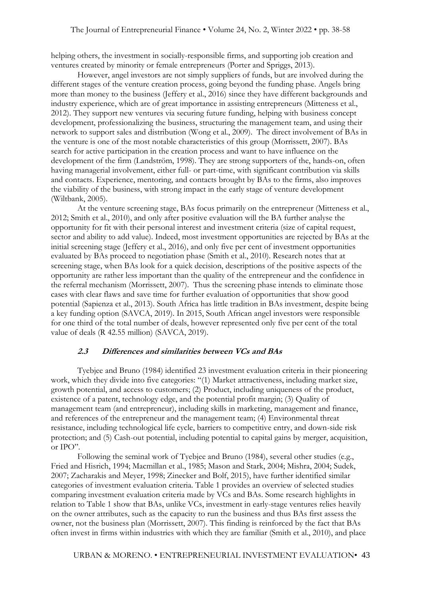helping others, the investment in socially-responsible firms, and supporting job creation and ventures created by minority or female entrepreneurs (Porter and Spriggs, 2013).

However, angel investors are not simply suppliers of funds, but are involved during the different stages of the venture creation process, going beyond the funding phase. Angels bring more than money to the business (Jeffery et al., 2016) since they have different backgrounds and industry experience, which are of great importance in assisting entrepreneurs (Mitteness et al., 2012). They support new ventures via securing future funding, helping with business concept development, professionalizing the business, structuring the management team, and using their network to support sales and distribution (Wong et al., 2009). The direct involvement of BAs in the venture is one of the most notable characteristics of this group (Morrissett, 2007). BAs search for active participation in the creation process and want to have influence on the development of the firm (Landström, 1998). They are strong supporters of the, hands-on, often having managerial involvement, either full- or part-time, with significant contribution via skills and contacts. Experience, mentoring, and contacts brought by BAs to the firms, also improves the viability of the business, with strong impact in the early stage of venture development (Wiltbank, 2005).

At the venture screening stage, BAs focus primarily on the entrepreneur (Mitteness et al., 2012; Smith et al., 2010), and only after positive evaluation will the BA further analyse the opportunity for fit with their personal interest and investment criteria (size of capital request, sector and ability to add value). Indeed, most investment opportunities are rejected by BAs at the initial screening stage (Jeffery et al., 2016), and only five per cent of investment opportunities evaluated by BAs proceed to negotiation phase (Smith et al., 2010). Research notes that at screening stage, when BAs look for a quick decision, descriptions of the positive aspects of the opportunity are rather less important than the quality of the entrepreneur and the confidence in the referral mechanism (Morrissett, 2007). Thus the screening phase intends to eliminate those cases with clear flaws and save time for further evaluation of opportunities that show good potential (Sapienza et al., 2013). South Africa has little tradition in BAs investment, despite being a key funding option (SAVCA, 2019). In 2015, South African angel investors were responsible for one third of the total number of deals, however represented only five per cent of the total value of deals (R 42.55 million) (SAVCA, 2019).

#### **2.3 Differences and similarities between VCs and BAs**

Tyebjee and Bruno (1984) identified 23 investment evaluation criteria in their pioneering work, which they divide into five categories: "(1) Market attractiveness, including market size, growth potential, and access to customers; (2) Product, including uniqueness of the product, existence of a patent, technology edge, and the potential profit margin; (3) Quality of management team (and entrepreneur), including skills in marketing, management and finance, and references of the entrepreneur and the management team; (4) Environmental threat resistance, including technological life cycle, barriers to competitive entry, and down-side risk protection; and (5) Cash-out potential, including potential to capital gains by merger, acquisition, or IPO".

Following the seminal work of Tyebjee and Bruno (1984), several other studies (e.g., Fried and Hisrich, 1994; Macmillan et al., 1985; Mason and Stark, 2004; Mishra, 2004; Sudek, 2007; Zacharakis and Meyer, 1998; Zinecker and Bolf, 2015), have further identified similar categories of investment evaluation criteria. Table 1 provides an overview of selected studies comparing investment evaluation criteria made by VCs and BAs. Some research highlights in relation to Table 1 show that BAs, unlike VCs, investment in early-stage ventures relies heavily on the owner attributes, such as the capacity to run the business and thus BAs first assess the owner, not the business plan (Morrissett, 2007). This finding is reinforced by the fact that BAs often invest in firms within industries with which they are familiar (Smith et al., 2010), and place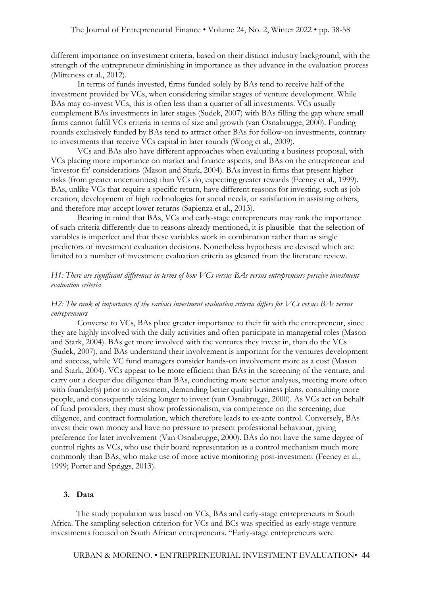different importance on investment criteria, based on their distinct industry background, with the strength of the entrepreneur diminishing in importance as they advance in the evaluation process (Mitteness et al., 2012).

In terms of funds invested, firms funded solely by BAs tend to receive half of the investment provided by VCs, when considering similar stages of venture development. While BAs may co-invest VCs, this is often less than a quarter of all investments. VCs usually complement BAs investments in later stages (Sudek, 2007) with BAs filling the gap where small firms cannot fulfil VCs criteria in terms of size and growth (van Osnabrugge, 2000). Funding rounds exclusively funded by BAs tend to attract other BAs for follow-on investments, contrary to investments that receive VCs capital in later rounds (Wong et al., 2009).

VCs and BAs also have different approaches when evaluating a business proposal, with VCs placing more importance on market and finance aspects, and BAs on the entrepreneur and 'investor fit' considerations (Mason and Stark, 2004). BAs invest in firms that present higher risks (from greater uncertainties) than VCs do, expecting greater rewards (Feeney et al., 1999). BAs, unlike VCs that require a specific return, have different reasons for investing, such as job creation, development of high technologies for social needs, or satisfaction in assisting others, and therefore may accept lower returns (Sapienza et al., 2013).

Bearing in mind that BAs, VCs and early-stage entrepreneurs may rank the importance of such criteria differently due to reasons already mentioned, it is plausible that the selection of variables is imperfect and that these variables work in combination rather than as single predictors of investment evaluation decisions. Nonetheless hypothesis are devised which are limited to a number of investment evaluation criteria as gleaned from the literature review.

## *H1: There are significant differences in terms of how VCs versus BAs versus entrepreneurs perceive investment evaluation criteria*

#### *H2: The rank of importance of the various investment evaluation criteria differs for VCs versus BAs versus entrepreneurs*

Converse to VCs, BAs place greater importance to their fit with the entrepreneur, since they are highly involved with the daily activities and often participate in managerial roles (Mason and Stark, 2004). BAs get more involved with the ventures they invest in, than do the VCs (Sudek, 2007), and BAs understand their involvement is important for the ventures development and success, while VC fund managers consider hands-on involvement more as a cost (Mason and Stark, 2004). VCs appear to be more efficient than BAs in the screening of the venture, and carry out a deeper due diligence than BAs, conducting more sector analyses, meeting more often with founder(s) prior to investment, demanding better quality business plans, consulting more people, and consequently taking longer to invest (van Osnabrugge, 2000). As VCs act on behalf of fund providers, they must show professionalism, via competence on the screening, due diligence, and contract formulation, which therefore leads to ex-ante control. Conversely, BAs invest their own money and have no pressure to present professional behaviour, giving preference for later involvement (Van Osnabrugge, 2000). BAs do not have the same degree of control rights as VCs, who use their board representation as a control mechanism much more commonly than BAs, who make use of more active monitoring post-investment (Feeney et al., 1999; Porter and Spriggs, 2013).

#### **3. Data**

The study population was based on VCs, BAs and early-stage entrepreneurs in South Africa. The sampling selection criterion for VCs and BCs was specified as early-stage venture investments focused on South African entrepreneurs. "Early-stage entrepreneurs were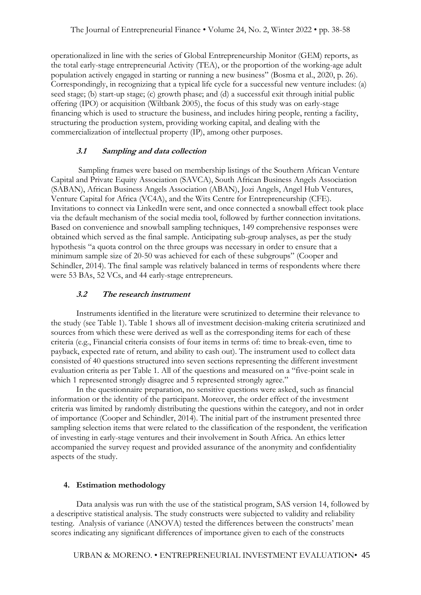operationalized in line with the series of Global Entrepreneurship Monitor (GEM) reports, as the total early-stage entrepreneurial Activity (TEA), or the proportion of the working-age adult population actively engaged in starting or running a new business" (Bosma et al., 2020, p. 26). Correspondingly, in recognizing that a typical life cycle for a successful new venture includes: (a) seed stage; (b) start-up stage; (c) growth phase; and (d) a successful exit through initial public offering (IPO) or acquisition (Wiltbank 2005), the focus of this study was on early-stage financing which is used to structure the business, and includes hiring people, renting a facility, structuring the production system, providing working capital, and dealing with the commercialization of intellectual property (IP), among other purposes.

#### **3.1 Sampling and data collection**

Sampling frames were based on membership listings of the Southern African Venture Capital and Private Equity Association (SAVCA), South African Business Angels Association (SABAN), African Business Angels Association (ABAN), Jozi Angels, Angel Hub Ventures, Venture Capital for Africa (VC4A), and the Wits Centre for Entrepreneurship (CFE). Invitations to connect via LinkedIn were sent, and once connected a snowball effect took place via the default mechanism of the social media tool, followed by further connection invitations. Based on convenience and snowball sampling techniques, 149 comprehensive responses were obtained which served as the final sample. Anticipating sub-group analyses, as per the study hypothesis "a quota control on the three groups was necessary in order to ensure that a minimum sample size of 20-50 was achieved for each of these subgroups" (Cooper and Schindler, 2014). The final sample was relatively balanced in terms of respondents where there were 53 BAs, 52 VCs, and 44 early-stage entrepreneurs.

#### **3.2 The research instrument**

Instruments identified in the literature were scrutinized to determine their relevance to the study (see Table 1). Table 1 shows all of investment decision-making criteria scrutinized and sources from which these were derived as well as the corresponding items for each of these criteria (e.g., Financial criteria consists of four items in terms of: time to break-even, time to payback, expected rate of return, and ability to cash out). The instrument used to collect data consisted of 40 questions structured into seven sections representing the different investment evaluation criteria as per Table 1. All of the questions and measured on a "five-point scale in which 1 represented strongly disagree and 5 represented strongly agree."

In the questionnaire preparation, no sensitive questions were asked, such as financial information or the identity of the participant. Moreover, the order effect of the investment criteria was limited by randomly distributing the questions within the category, and not in order of importance (Cooper and Schindler, 2014). The initial part of the instrument presented three sampling selection items that were related to the classification of the respondent, the verification of investing in early-stage ventures and their involvement in South Africa. An ethics letter accompanied the survey request and provided assurance of the anonymity and confidentiality aspects of the study.

#### **4. Estimation methodology**

Data analysis was run with the use of the statistical program, SAS version 14, followed by a descriptive statistical analysis. The study constructs were subjected to validity and reliability testing. Analysis of variance (ANOVA) tested the differences between the constructs' mean scores indicating any significant differences of importance given to each of the constructs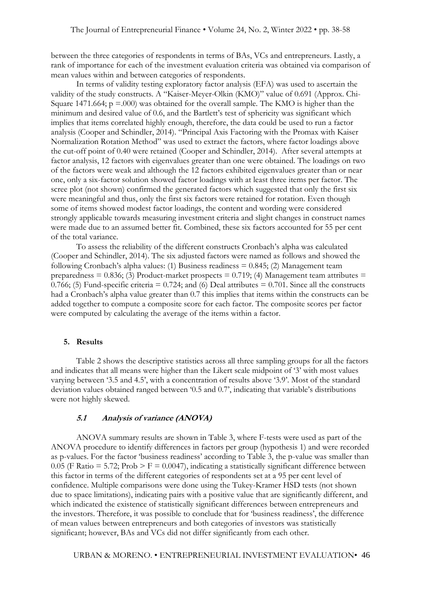between the three categories of respondents in terms of BAs, VCs and entrepreneurs. Lastly, a rank of importance for each of the investment evaluation criteria was obtained via comparison of mean values within and between categories of respondents.

In terms of validity testing exploratory factor analysis (EFA) was used to ascertain the validity of the study constructs. A "Kaiser-Meyer-Olkin (KMO)" value of 0.691 (Approx. Chi-Square 1471.664;  $p = .000$ ) was obtained for the overall sample. The KMO is higher than the minimum and desired value of 0.6, and the Bartlett's test of sphericity was significant which implies that items correlated highly enough, therefore, the data could be used to run a factor analysis (Cooper and Schindler, 2014). "Principal Axis Factoring with the Promax with Kaiser Normalization Rotation Method" was used to extract the factors, where factor loadings above the cut-off point of 0.40 were retained (Cooper and Schindler, 2014). After several attempts at factor analysis, 12 factors with eigenvalues greater than one were obtained. The loadings on two of the factors were weak and although the 12 factors exhibited eigenvalues greater than or near one, only a six-factor solution showed factor loadings with at least three items per factor. The scree plot (not shown) confirmed the generated factors which suggested that only the first six were meaningful and thus, only the first six factors were retained for rotation. Even though some of items showed modest factor loadings, the content and wording were considered strongly applicable towards measuring investment criteria and slight changes in construct names were made due to an assumed better fit. Combined, these six factors accounted for 55 per cent of the total variance.

To assess the reliability of the different constructs Cronbach's alpha was calculated (Cooper and Schindler, 2014). The six adjusted factors were named as follows and showed the following Cronbach's alpha values: (1) Business readiness  $= 0.845$ ; (2) Management team preparedness =  $0.836$ ; (3) Product-market prospects =  $0.719$ ; (4) Management team attributes = 0.766; (5) Fund-specific criteria  $= 0.724$ ; and (6) Deal attributes  $= 0.701$ . Since all the constructs had a Cronbach's alpha value greater than 0.7 this implies that items within the constructs can be added together to compute a composite score for each factor. The composite scores per factor were computed by calculating the average of the items within a factor.

#### **5. Results**

Table 2 shows the descriptive statistics across all three sampling groups for all the factors and indicates that all means were higher than the Likert scale midpoint of '3' with most values varying between '3.5 and 4.5', with a concentration of results above '3.9'. Most of the standard deviation values obtained ranged between '0.5 and 0.7', indicating that variable's distributions were not highly skewed.

#### **5.1 Analysis of variance (ANOVA)**

ANOVA summary results are shown in Table 3, where F-tests were used as part of the ANOVA procedure to identify differences in factors per group (hypothesis 1) and were recorded as p-values. For the factor 'business readiness' according to Table 3, the p-value was smaller than 0.05 (F Ratio = 5.72; Prob > F = 0.0047), indicating a statistically significant difference between this factor in terms of the different categories of respondents set at a 95 per cent level of confidence. Multiple comparisons were done using the Tukey-Kramer HSD tests (not shown due to space limitations), indicating pairs with a positive value that are significantly different, and which indicated the existence of statistically significant differences between entrepreneurs and the investors. Therefore, it was possible to conclude that for 'business readiness', the difference of mean values between entrepreneurs and both categories of investors was statistically significant; however, BAs and VCs did not differ significantly from each other.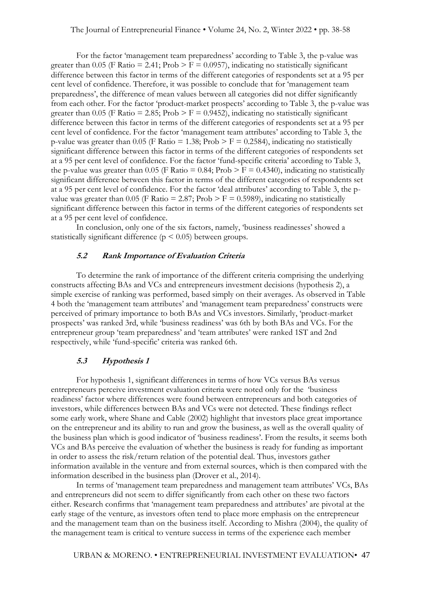For the factor 'management team preparedness' according to Table 3, the p-value was greater than 0.05 (F Ratio = 2.41; Prob >  $F = 0.0957$ ), indicating no statistically significant difference between this factor in terms of the different categories of respondents set at a 95 per cent level of confidence. Therefore, it was possible to conclude that for 'management team preparedness', the difference of mean values between all categories did not differ significantly from each other. For the factor 'product-market prospects' according to Table 3, the p-value was greater than 0.05 (F Ratio = 2.85; Prob > F = 0.9452), indicating no statistically significant difference between this factor in terms of the different categories of respondents set at a 95 per cent level of confidence. For the factor 'management team attributes' according to Table 3, the p-value was greater than 0.05 (F Ratio = 1.38; Prob  $>$  F = 0.2584), indicating no statistically significant difference between this factor in terms of the different categories of respondents set at a 95 per cent level of confidence. For the factor 'fund-specific criteria' according to Table 3, the p-value was greater than 0.05 (F Ratio = 0.84; Prob > F = 0.4340), indicating no statistically significant difference between this factor in terms of the different categories of respondents set at a 95 per cent level of confidence. For the factor 'deal attributes' according to Table 3, the pvalue was greater than 0.05 (F Ratio = 2.87; Prob > F = 0.5989), indicating no statistically significant difference between this factor in terms of the different categories of respondents set at a 95 per cent level of confidence.

In conclusion, only one of the six factors, namely, 'business readinesses' showed a statistically significant difference ( $p \leq 0.05$ ) between groups.

## **5.2 Rank Importance of Evaluation Criteria**

To determine the rank of importance of the different criteria comprising the underlying constructs affecting BAs and VCs and entrepreneurs investment decisions (hypothesis 2), a simple exercise of ranking was performed, based simply on their averages. As observed in Table 4 both the 'management team attributes' and 'management team preparedness' constructs were perceived of primary importance to both BAs and VCs investors. Similarly, 'product-market prospects' was ranked 3rd, while 'business readiness' was 6th by both BAs and VCs. For the entrepreneur group 'team preparedness' and 'team attributes' were ranked 1ST and 2nd respectively, while 'fund-specific' criteria was ranked 6th.

#### **5.3 Hypothesis 1**

For hypothesis 1, significant differences in terms of how VCs versus BAs versus entrepreneurs perceive investment evaluation criteria were noted only for the 'business readiness' factor where differences were found between entrepreneurs and both categories of investors, while differences between BAs and VCs were not detected. These findings reflect some early work, where Shane and Cable (2002) highlight that investors place great importance on the entrepreneur and its ability to run and grow the business, as well as the overall quality of the business plan which is good indicator of 'business readiness'. From the results, it seems both VCs and BAs perceive the evaluation of whether the business is ready for funding as important in order to assess the risk/return relation of the potential deal. Thus, investors gather information available in the venture and from external sources, which is then compared with the information described in the business plan (Drover et al., 2014).

In terms of 'management team preparedness and management team attributes' VCs, BAs and entrepreneurs did not seem to differ significantly from each other on these two factors either. Research confirms that 'management team preparedness and attributes' are pivotal at the early stage of the venture, as investors often tend to place more emphasis on the entrepreneur and the management team than on the business itself. According to Mishra (2004), the quality of the management team is critical to venture success in terms of the experience each member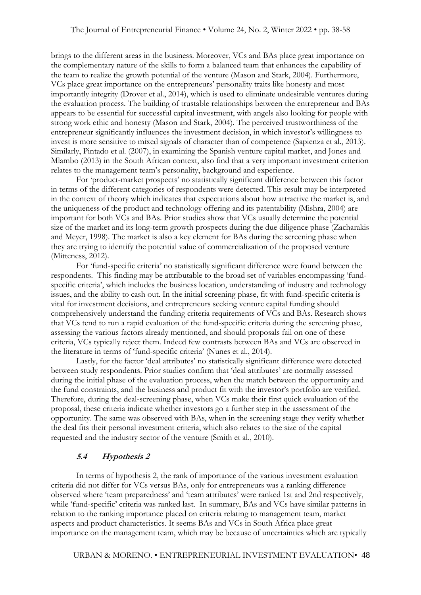brings to the different areas in the business. Moreover, VCs and BAs place great importance on the complementary nature of the skills to form a balanced team that enhances the capability of the team to realize the growth potential of the venture (Mason and Stark, 2004). Furthermore, VCs place great importance on the entrepreneurs' personality traits like honesty and most importantly integrity (Drover et al., 2014), which is used to eliminate undesirable ventures during the evaluation process. The building of trustable relationships between the entrepreneur and BAs appears to be essential for successful capital investment, with angels also looking for people with strong work ethic and honesty (Mason and Stark, 2004). The perceived trustworthiness of the entrepreneur significantly influences the investment decision, in which investor's willingness to invest is more sensitive to mixed signals of character than of competence (Sapienza et al., 2013). Similarly, Pintado et al. (2007), in examining the Spanish venture capital market, and Jones and Mlambo (2013) in the South African context, also find that a very important investment criterion relates to the management team's personality, background and experience.

For 'product-market prospects' no statistically significant difference between this factor in terms of the different categories of respondents were detected. This result may be interpreted in the context of theory which indicates that expectations about how attractive the market is, and the uniqueness of the product and technology offering and its patentability (Mishra, 2004) are important for both VCs and BAs. Prior studies show that VCs usually determine the potential size of the market and its long-term growth prospects during the due diligence phase (Zacharakis and Meyer, 1998). The market is also a key element for BAs during the screening phase when they are trying to identify the potential value of commercialization of the proposed venture (Mitteness, 2012).

For 'fund-specific criteria' no statistically significant difference were found between the respondents. This finding may be attributable to the broad set of variables encompassing 'fundspecific criteria', which includes the business location, understanding of industry and technology issues, and the ability to cash out. In the initial screening phase, fit with fund-specific criteria is vital for investment decisions, and entrepreneurs seeking venture capital funding should comprehensively understand the funding criteria requirements of VCs and BAs. Research shows that VCs tend to run a rapid evaluation of the fund-specific criteria during the screening phase, assessing the various factors already mentioned, and should proposals fail on one of these criteria, VCs typically reject them. Indeed few contrasts between BAs and VCs are observed in the literature in terms of 'fund-specific criteria' (Nunes et al., 2014).

Lastly, for the factor 'deal attributes' no statistically significant difference were detected between study respondents. Prior studies confirm that 'deal attributes' are normally assessed during the initial phase of the evaluation process, when the match between the opportunity and the fund constraints, and the business and product fit with the investor's portfolio are verified. Therefore, during the deal-screening phase, when VCs make their first quick evaluation of the proposal, these criteria indicate whether investors go a further step in the assessment of the opportunity. The same was observed with BAs, when in the screening stage they verify whether the deal fits their personal investment criteria, which also relates to the size of the capital requested and the industry sector of the venture (Smith et al., 2010).

## **5.4 Hypothesis 2**

In terms of hypothesis 2, the rank of importance of the various investment evaluation criteria did not differ for VCs versus BAs, only for entrepreneurs was a ranking difference observed where 'team preparedness' and 'team attributes' were ranked 1st and 2nd respectively, while 'fund-specific' criteria was ranked last. In summary, BAs and VCs have similar patterns in relation to the ranking importance placed on criteria relating to management team, market aspects and product characteristics. It seems BAs and VCs in South Africa place great importance on the management team, which may be because of uncertainties which are typically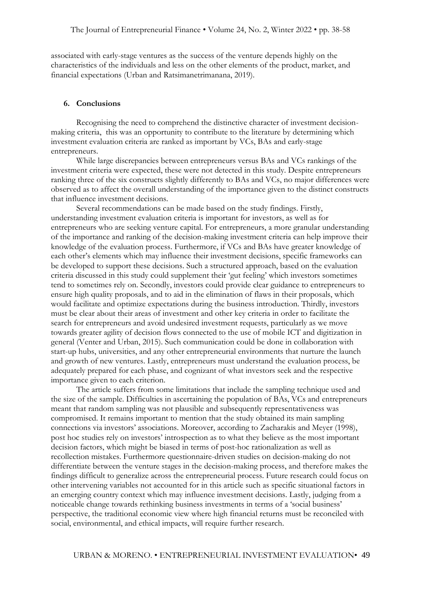associated with early-stage ventures as the success of the venture depends highly on the characteristics of the individuals and less on the other elements of the product, market, and financial expectations (Urban and Ratsimanetrimanana, 2019).

#### **6. Conclusions**

Recognising the need to comprehend the distinctive character of investment decisionmaking criteria, this was an opportunity to contribute to the literature by determining which investment evaluation criteria are ranked as important by VCs, BAs and early-stage entrepreneurs.

While large discrepancies between entrepreneurs versus BAs and VCs rankings of the investment criteria were expected, these were not detected in this study. Despite entrepreneurs ranking three of the six constructs slightly differently to BAs and VCs, no major differences were observed as to affect the overall understanding of the importance given to the distinct constructs that influence investment decisions.

Several recommendations can be made based on the study findings. Firstly, understanding investment evaluation criteria is important for investors, as well as for entrepreneurs who are seeking venture capital. For entrepreneurs, a more granular understanding of the importance and ranking of the decision-making investment criteria can help improve their knowledge of the evaluation process. Furthermore, if VCs and BAs have greater knowledge of each other's elements which may influence their investment decisions, specific frameworks can be developed to support these decisions. Such a structured approach, based on the evaluation criteria discussed in this study could supplement their 'gut feeling' which investors sometimes tend to sometimes rely on. Secondly, investors could provide clear guidance to entrepreneurs to ensure high quality proposals, and to aid in the elimination of flaws in their proposals, which would facilitate and optimize expectations during the business introduction. Thirdly, investors must be clear about their areas of investment and other key criteria in order to facilitate the search for entrepreneurs and avoid undesired investment requests, particularly as we move towards greater agility of decision flows connected to the use of mobile ICT and digitization in general (Venter and Urban, 2015). Such communication could be done in collaboration with start-up hubs, universities, and any other entrepreneurial environments that nurture the launch and growth of new ventures. Lastly, entrepreneurs must understand the evaluation process, be adequately prepared for each phase, and cognizant of what investors seek and the respective importance given to each criterion.

The article suffers from some limitations that include the sampling technique used and the size of the sample. Difficulties in ascertaining the population of BAs, VCs and entrepreneurs meant that random sampling was not plausible and subsequently representativeness was compromised. It remains important to mention that the study obtained its main sampling connections via investors' associations. Moreover, according to Zacharakis and Meyer (1998), post hoc studies rely on investors' introspection as to what they believe as the most important decision factors, which might be biased in terms of post-hoc rationalization as well as recollection mistakes. Furthermore questionnaire-driven studies on decision-making do not differentiate between the venture stages in the decision-making process, and therefore makes the findings difficult to generalize across the entrepreneurial process. Future research could focus on other intervening variables not accounted for in this article such as specific situational factors in an emerging country context which may influence investment decisions. Lastly, judging from a noticeable change towards rethinking business investments in terms of a 'social business' perspective, the traditional economic view where high financial returns must be reconciled with social, environmental, and ethical impacts, will require further research.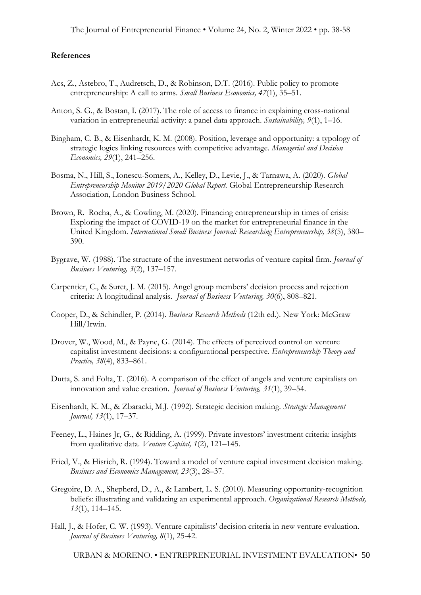#### **References**

- Acs, Z., Astebro, T., Audretsch, D., & Robinson, D.T. (2016). Public policy to promote entrepreneurship: A call to arms. *Small Business Economics, 47*(1), 35–51.
- Anton, S. G., & Bostan, I. (2017). The role of access to finance in explaining cross-national variation in entrepreneurial activity: a panel data approach. *Sustainability, 9*(1), 1–16.
- Bingham, C. B., & Eisenhardt, K. M. (2008). Position, leverage and opportunity: a typology of strategic logics linking resources with competitive advantage. *Managerial and Decision Economics, 29*(1), 241–256.
- Bosma, N., Hill, S., Ionescu-Somers, A., Kelley, D., Levie, J., & Tarnawa, A. (2020). *Global Entrepreneurship Monitor 2019/2020 Global Report.* Global Entrepreneurship Research Association, London Business School.
- Brown, R. Rocha, A., & Cowling, M. (2020). Financing entrepreneurship in times of crisis: Exploring the impact of COVID-19 on the market for entrepreneurial finance in the United Kingdom. *International Small Business Journal: Researching Entrepreneurship, 38*(5), 380– 390.
- Bygrave, W. (1988). The structure of the investment networks of venture capital firm. *Journal of Business Venturing, 3*(2), 137–157.
- Carpentier, C., & Suret, J. M. (2015). Angel group members' decision process and rejection criteria: A longitudinal analysis. *Journal of Business Venturing, 30*(6), 808–821.
- Cooper, D., & Schindler, P. (2014). *Business Research Methods* (12th ed.). New York: McGraw Hill/Irwin.
- Drover, W., Wood, M., & Payne, G. (2014). The effects of perceived control on venture capitalist investment decisions: a configurational perspective. *Entrepreneurship Theory and Practice, 38*(4), 833–861.
- Dutta, S. and Folta, T. (2016). A comparison of the effect of angels and venture capitalists on innovation and value creation. *Journal of Business Venturing, 31*(1), 39–54.
- Eisenhardt, K. M., & Zbaracki, M.J. (1992). Strategic decision making. *Strategic Management Journal, 13*(1), 17–37.
- Feeney, L., Haines Jr, G., & Ridding, A. (1999). Private investors' investment criteria: insights from qualitative data. *Venture Capital, 1*(2), 121–145.
- Fried, V., & Hisrich, R. (1994). Toward a model of venture capital investment decision making. *Business and Economics Management, 23*(3), 28–37.
- Gregoire, D. A., Shepherd, D., A., & Lambert, L. S. (2010). Measuring opportunity-recognition beliefs: illustrating and validating an experimental approach. *Organizational Research Methods, 13*(1), 114–145.
- Hall, J., & Hofer, C. W. (1993). Venture capitalists' decision criteria in new venture evaluation. *Journal of Business Venturing, 8*(1), 25-42.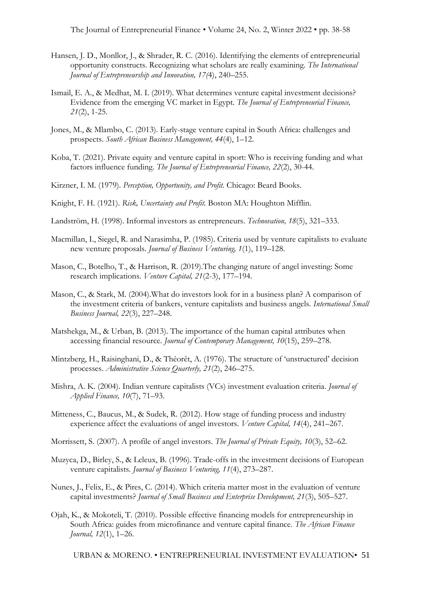The Journal of Entrepreneurial Finance • Volume 24, No. 2, Winter 2022 • pp. 38-58

- Hansen, J. D., Monllor, J., & Shrader, R. C. (2016). Identifying the elements of entrepreneurial opportunity constructs. Recognizing what scholars are really examining. *The International Journal of Entrepreneurship and Innovation, 17(*4), 240–255.
- Ismail, E. A., & Medhat, M. I. (2019). What determines venture capital investment decisions? Evidence from the emerging VC market in Egypt. *The Journal of Entrepreneurial Finance, 21*(2), 1-25.
- Jones, M., & Mlambo, C. (2013). Early-stage venture capital in South Africa: challenges and prospects. *South African Business Management, 44*(4), 1–12.
- Koba, T. (2021). Private equity and venture capital in sport: Who is receiving funding and what factors influence funding. *The Journal of Entrepreneurial Finance, 22*(2), 30-44.
- Kirzner, I. M. (1979). *Perception, Opportunity, and Profit.* Chicago: Beard Books.
- Knight, F. H. (1921). *Risk, Uncertainty and Profit.* Boston MA: Houghton Mifflin.
- Landström, H. (1998). Informal investors as entrepreneurs. *Technovation, 18*(5), 321–333.
- Macmillan, I., Siegel, R. and Narasimha, P. (1985). Criteria used by venture capitalists to evaluate new venture proposals. *Journal of Business Venturing, 1*(1), 119–128.
- Mason, C., Botelho, T., & Harrison, R. (2019).The changing nature of angel investing: Some research implications. *Venture Capital, 21*(2-3), 177–194.
- Mason, C., & Stark, M. (2004).What do investors look for in a business plan? A comparison of the investment criteria of bankers, venture capitalists and business angels. *International Small Business Journal, 22*(3), 227–248.
- Matshekga, M., & Urban, B. (2013). The importance of the human capital attributes when accessing financial resource. *Journal of Contemporary Management, 10*(15), 259–278.
- Mintzberg, H., Raisinghani, D., & Théorêt, A. (1976). The structure of 'unstructured' decision processes. *Administrative Science Quarterly, 21*(2), 246–275.
- Mishra, A. K. (2004). Indian venture capitalists (VCs) investment evaluation criteria. *Journal of Applied Finance, 10*(7), 71–93.
- Mitteness, C., Baucus, M., & Sudek, R. (2012). How stage of funding process and industry experience affect the evaluations of angel investors. *Venture Capital, 14*(4), 241–267.
- Morrissett, S. (2007). A profile of angel investors. *The Journal of Private Equity, 10*(3), 52–62.
- Muzyca, D., Birley, S., & Leleux, B. (1996). Trade-offs in the investment decisions of European venture capitalists. *Journal of Business Venturing, 11*(4), 273–287.
- Nunes, J., Felix, E., & Pires, C. (2014). Which criteria matter most in the evaluation of venture capital investments? *Journal of Small Business and Enterprise Development, 21*(3), 505–527.
- Ojah, K., & Mokoteli, T. (2010). Possible effective financing models for entrepreneurship in South Africa: guides from microfinance and venture capital finance. *The African Finance Journal, 12*(1), 1–26.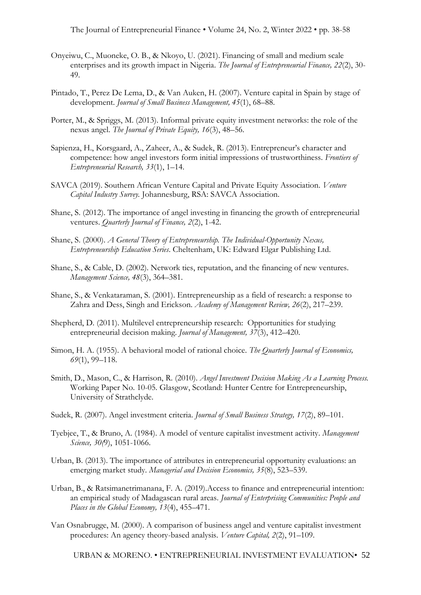The Journal of Entrepreneurial Finance • Volume 24, No. 2, Winter 2022 • pp. 38-58

- Onyeiwu, C., Muoneke, O. B., & Nkoyo, U. (2021). Financing of small and medium scale enterprises and its growth impact in Nigeria. *The Journal of Entrepreneurial Finance, 22*(2), 30- 49.
- Pintado, T., Perez De Lema, D., & Van Auken, H. (2007). Venture capital in Spain by stage of development. *Journal of Small Business Management, 45*(1), 68–88.
- Porter, M., & Spriggs, M. (2013). Informal private equity investment networks: the role of the nexus angel. *The Journal of Private Equity, 16*(3), 48–56.
- Sapienza, H., Korsgaard, A., Zaheer, A., & Sudek, R. (2013). Entrepreneur's character and competence: how angel investors form initial impressions of trustworthiness. *Frontiers of Entrepreneurial Research, 33*(1), 1–14.
- SAVCA (2019). Southern African Venture Capital and Private Equity Association. *Venture Capital Industry Survey.* Johannesburg, RSA: SAVCA Association.
- Shane, S. (2012). The importance of angel investing in financing the growth of entrepreneurial ventures. *Quarterly Journal of Finance, 2*(2), 1-42.
- Shane, S. (2000). *A General Theory of Entrepreneurship. The Individual-Opportunity Nexus, Entrepreneurship Education Series*. Cheltenham, UK: Edward Elgar Publishing Ltd.
- Shane, S., & Cable, D. (2002). Network ties, reputation, and the financing of new ventures. *Management Science, 48*(3), 364–381.
- Shane, S., & Venkataraman, S. (2001). Entrepreneurship as a field of research: a response to Zahra and Dess, Singh and Erickson. *Academy of Management Review, 26*(2), 217–239.
- Shepherd, D. (2011). Multilevel entrepreneurship research: Opportunities for studying entrepreneurial decision making. *Journal of Management, 37*(3), 412–420.
- Simon, H. A. (1955). A behavioral model of rational choice. *The Quarterly Journal of Economics, 69*(1), 99–118.
- Smith, D., Mason, C., & Harrison, R. (2010). *Angel Investment Decision Making As a Learning Process.* Working Paper No. 10-05. Glasgow, Scotland: Hunter Centre for Entrepreneurship, University of Strathclyde.
- Sudek, R. (2007). Angel investment criteria. *Journal of Small Business Strategy, 17*(2), 89–101.
- Tyebjee, T., & Bruno, A. (1984). A model of venture capitalist investment activity. *Management Science, 30(*9), 1051-1066.
- Urban, B. (2013). The importance of attributes in entrepreneurial opportunity evaluations: an emerging market study. *Managerial and Decision Economics, 35*(8), 523–539.
- Urban, B., & Ratsimanetrimanana, F. A. (2019).Access to finance and entrepreneurial intention: an empirical study of Madagascan rural areas. *Journal of Enterprising Communities: People and Places in the Global Economy, 13*(4), 455–471.
- Van Osnabrugge, M. (2000). A comparison of business angel and venture capitalist investment procedures: An agency theory-based analysis. *Venture Capital, 2*(2), 91–109.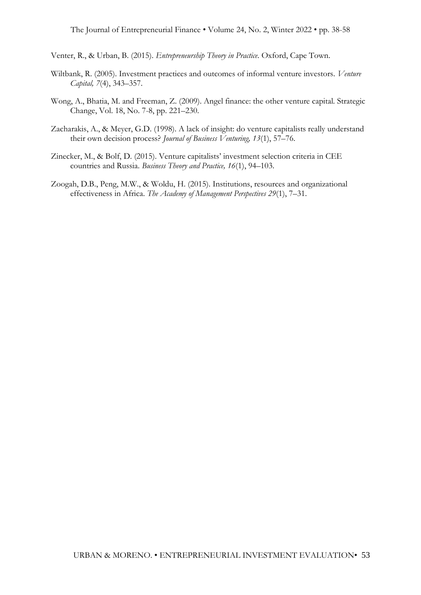Venter, R., & Urban, B. (2015). *Entrepreneurship Theory in Practice*. Oxford, Cape Town.

- Wiltbank, R. (2005). Investment practices and outcomes of informal venture investors. *Venture Capital, 7*(4), 343–357.
- Wong, A., Bhatia, M. and Freeman, Z. (2009). Angel finance: the other venture capital. Strategic Change, Vol. 18, No. 7-8, pp. 221–230.
- Zacharakis, A., & Meyer, G.D. (1998). A lack of insight: do venture capitalists really understand their own decision process? *Journal of Business Venturing, 13*(1), 57–76.
- Zinecker, M., & Bolf, D. (2015). Venture capitalists' investment selection criteria in CEE countries and Russia. *Business Theory and Practice, 16*(1), 94–103.
- Zoogah, D.B., Peng, M.W., & Woldu, H. (2015). Institutions, resources and organizational effectiveness in Africa. *The Academy of Management Perspectives 29*(1), 7–31.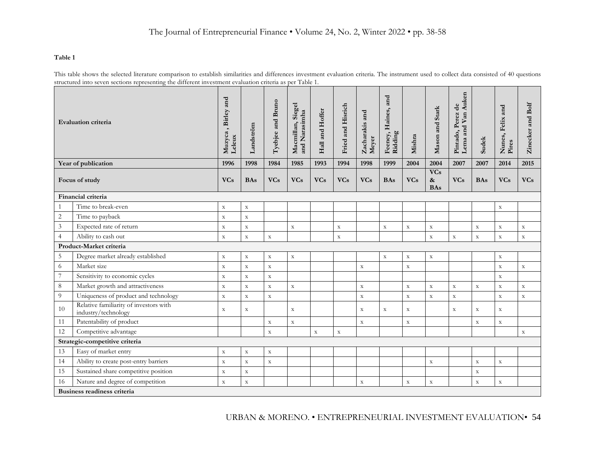#### **Table 1**

This table shows the selected literature comparison to establish similarities and differences investment evaluation criteria. The instrument used to collect data consisted of 40 questions structured into seven sections representing the different investment evaluation criteria as per Table 1.

|                          | <b>Evaluation criteria</b>                                    | , Birley and<br>Muzyca<br>Leleux | Landström   | Tyebjee and Bruno | Macmillan, Siegel<br>and Narasimha | Hall and Hoffer | Fried and Hisrich | Zacharakis and<br>Meyer | and<br>Feeney, Haines,<br>Ridding | Mishra      | Mason and Stark                        | Auken<br>Pintado, Perez de<br>Lema and Van | <b>Sudek</b> | Nunes, Felix and<br>Pires | Zinecker and Bolf |
|--------------------------|---------------------------------------------------------------|----------------------------------|-------------|-------------------|------------------------------------|-----------------|-------------------|-------------------------|-----------------------------------|-------------|----------------------------------------|--------------------------------------------|--------------|---------------------------|-------------------|
|                          | Year of publication                                           | 1996                             | 1998        | 1984              | 1985                               | 1993            | 1994              | 1998                    | 1999                              | 2004        | 2004                                   | 2007                                       | 2007         | 2014                      | 2015              |
| Focus of study           |                                                               | <b>VCs</b>                       | <b>BAs</b>  | <b>VCs</b>        | <b>VCs</b>                         | <b>VCs</b>      | <b>VCs</b>        | <b>VCs</b>              | <b>BAs</b>                        | <b>VCs</b>  | <b>VCs</b><br>$\pmb{\&}$<br><b>BAs</b> | <b>VCs</b>                                 | <b>BAs</b>   | <b>VCs</b>                | <b>VCs</b>        |
|                          | Financial criteria                                            |                                  |             |                   |                                    |                 |                   |                         |                                   |             |                                        |                                            |              |                           |                   |
| 1                        | Time to break-even                                            | $\mathbf X$                      | $\mathbf X$ |                   |                                    |                 |                   |                         |                                   |             |                                        |                                            |              | $\mathbf X$               |                   |
| $\overline{2}$           | Time to payback                                               | $\mathbf X$                      | $\mathbf X$ |                   |                                    |                 |                   |                         |                                   |             |                                        |                                            |              |                           |                   |
| $\sqrt{3}$               | Expected rate of return                                       | $\mathbf X$                      | $\mathbf X$ |                   | $\mathbf X$                        |                 | $\mathbf X$       |                         | $\mathbf X$                       | $\mathbf X$ | $\mathbf X$                            |                                            | $\mathbf X$  | $\mathbf X$               | $\mathbf X$       |
| $\overline{4}$           | Ability to cash out                                           | $\mathbf X$                      | $\mathbf X$ | $\mathbf X$       |                                    |                 | $\mathbf X$       |                         |                                   |             | $\mathbf X$                            | $\mathbf X$                                | $\mathbf X$  | $\mathbf X$               | $\mathbf X$       |
|                          | Product-Market criteria                                       |                                  |             |                   |                                    |                 |                   |                         |                                   |             |                                        |                                            |              |                           |                   |
| 5                        | Degree market already established                             | $\mathbf X$                      | $\mathbf X$ | $\mathbf X$       | $\mathbf X$                        |                 |                   |                         | $\mathbf X$                       | $\mathbf X$ | $\mathbf X$                            |                                            |              | $\mathbf X$               |                   |
| 6                        | Market size                                                   | $\mathbf X$                      | $\mathbf X$ | $\mathbf X$       |                                    |                 |                   | $\mathbf X$             |                                   | $\mathbf X$ |                                        |                                            |              | $\mathbf X$               | $\mathbf X$       |
| $\overline{\mathcal{I}}$ | Sensitivity to economic cycles                                | $\mathbf X$                      | $\mathbf X$ | $\mathbf X$       |                                    |                 |                   |                         |                                   |             |                                        |                                            |              | $\mathbf X$               |                   |
| $\,8\,$                  | Market growth and attractiveness                              | $\mathbf X$                      | $\mathbf X$ | $\mathbf X$       | $\mathbf X$                        |                 |                   | $\mathbf X$             |                                   | $\mathbf X$ | $\mathbf X$                            | $\mathbf X$                                | $\mathbf X$  | $\mathbf X$               | $\mathbf X$       |
| $\overline{9}$           | Uniqueness of product and technology                          | $\mathbf X$                      | $\mathbf X$ | $\mathbf X$       |                                    |                 |                   | $\mathbf X$             |                                   | $\mathbf X$ | $\bar{\textbf{X}}$                     | $\bar{\mathbf{X}}$                         |              | $\mathbf X$               | $\mathbf X$       |
| 10                       | Relative familiarity of investors with<br>industry/technology | $\mathbf X$                      | $\mathbf X$ |                   | $\mathbf X$                        |                 |                   | $\mathbf X$             | $\mathbf X$                       | $\mathbf X$ |                                        | $\mathbf X$                                | $\mathbf X$  | $\mathbf X$               |                   |
| 11                       | Patentability of product                                      |                                  |             | $\mathbf X$       | $\mathbf X$                        |                 |                   | $\mathbf X$             |                                   | $\mathbf X$ |                                        |                                            | $\mathbf X$  | $\mathbf X$               |                   |
| 12                       | Competitive advantage                                         |                                  |             | $\mathbf x$       |                                    | $\mathbf X$     | $\mathbf X$       |                         |                                   |             |                                        |                                            |              |                           | $\mathbf X$       |
|                          | Strategic-competitive criteria                                |                                  |             |                   |                                    |                 |                   |                         |                                   |             |                                        |                                            |              |                           |                   |
| 13                       | Easy of market entry                                          | $\mathbf X$                      | $\mathbf X$ | $\mathbf X$       |                                    |                 |                   |                         |                                   |             |                                        |                                            |              |                           |                   |
| 14                       | Ability to create post-entry barriers                         | $\mathbf X$                      | $\mathbf X$ | $\mathbf X$       |                                    |                 |                   |                         |                                   |             | $\mathbf X$                            |                                            | $\mathbf X$  | $\mathbf X$               |                   |
| 15                       | Sustained share competitive position                          | $\mathbf X$                      | $\mathbf X$ |                   |                                    |                 |                   |                         |                                   |             |                                        |                                            | $\mathbf X$  |                           |                   |
| 16                       | Nature and degree of competition                              | $\mathbf X$                      | $\mathbf X$ |                   |                                    |                 |                   | $\mathbf X$             |                                   | $\mathbf X$ | $\mathbf X$                            |                                            | $\mathbf X$  | $\mathbf X$               |                   |
|                          | Business readiness criteria                                   |                                  |             |                   |                                    |                 |                   |                         |                                   |             |                                        |                                            |              |                           |                   |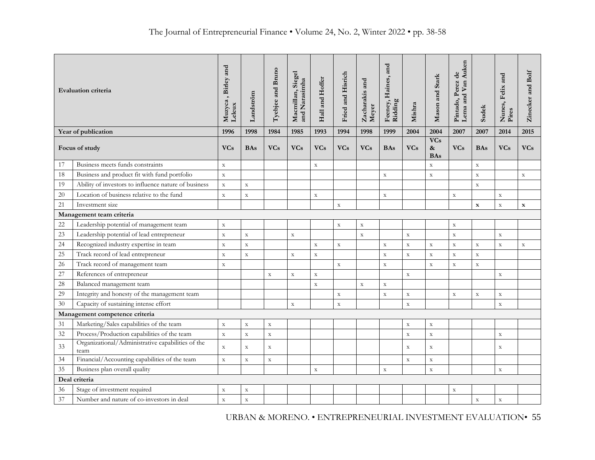| <b>Evaluation criteria</b> |                                                           | Muzyca, Birley and<br>Leleux | Landström   | Tyebjee and Bruno | Macmillan, Siegel<br>and Narasimha | Hall and Hoffer | Fried and Hisrich | Zacharakis and<br>Meyer | and<br>Feeney, Haines,<br>Ridding | Mishra      | Mason and Stark                  | Lema and Van Auken<br>Pintado, Perez de | <b>Sudek</b> | Nunes, Felix and<br>Pires | Zinecker and Bolf |
|----------------------------|-----------------------------------------------------------|------------------------------|-------------|-------------------|------------------------------------|-----------------|-------------------|-------------------------|-----------------------------------|-------------|----------------------------------|-----------------------------------------|--------------|---------------------------|-------------------|
|                            | Year of publication                                       | 1996                         | 1998        | 1984              | 1985                               | 1993            | 1994              | 1998                    | 1999                              | 2004        | 2004                             | 2007                                    | 2007<br>2014 |                           | 2015              |
|                            | <b>VCs</b><br>Focus of study                              |                              | <b>BAs</b>  | <b>VCs</b>        | <b>VCs</b>                         | <b>VCs</b>      | <b>VCs</b>        | <b>VCs</b>              | <b>BAs</b>                        | <b>VCs</b>  | <b>VCs</b><br>$\&$<br><b>BAs</b> | <b>VCs</b>                              | <b>BAs</b>   | <b>VCs</b>                | <b>VCs</b>        |
| 17                         | Business meets funds constraints                          | $\mathbf X$                  |             |                   |                                    | $\mathbf X$     |                   |                         |                                   |             | $\mathbf X$                      |                                         | $\mathbf X$  |                           |                   |
| 18                         | Business and product fit with fund portfolio              | $\mathbf X$                  |             |                   |                                    |                 |                   |                         | $\mathbf x$                       |             | $\mathbf X$                      |                                         | $\mathbf{x}$ |                           | $\mathbf x$       |
| 19                         | Ability of investors to influence nature of business      |                              | $\mathbf X$ |                   |                                    |                 |                   |                         |                                   |             |                                  |                                         | $\mathbf X$  |                           |                   |
| 20                         | Location of business relative to the fund                 |                              | $\rm X$     |                   |                                    | $\mathbf X$     |                   |                         | $\mathbf X$                       |             |                                  | $\mathbf X$                             |              | $\mathbf X$               |                   |
| 21                         | Investment size                                           |                              |             |                   |                                    |                 | $\mathbf X$       |                         |                                   |             |                                  |                                         | $\mathbf x$  | $\mathbf X$               | $\mathbf x$       |
| Management team criteria   |                                                           |                              |             |                   |                                    |                 |                   |                         |                                   |             |                                  |                                         |              |                           |                   |
| 22                         | Leadership potential of management team                   | $\mathbf X$                  |             |                   |                                    |                 | $\mathbf X$       | $\mathbf X$             |                                   |             |                                  | $\mathbf X$                             |              |                           |                   |
| 23                         | Leadership potential of lead entrepreneur                 | $\rm X$                      | $\mathbf X$ |                   | $\mathbf X$                        |                 |                   | $\mathbf X$             |                                   | $\mathbf X$ |                                  | $\bar{\mathbf{X}}$                      |              | $\mathbf X$               |                   |
| 24                         | Recognized industry expertise in team                     | $\mathbf X$                  | $\mathbf X$ |                   |                                    | $\mathbf X$     | $\mathbf X$       |                         | $\mathbf X$                       | $\mathbf X$ | $\mathbf X$                      | $\mathbf X$                             | $\mathbf X$  | $\mathbf X$               | $\mathbf X$       |
| 25                         | Track record of lead entrepreneur                         | $\mathbf X$                  | $\mathbf X$ |                   | $\mathbf X$                        | $\mathbf X$     |                   |                         | $\mathbf X$                       | $\mathbf X$ | $\mathbf X$                      | $\mathbf X$                             | $\mathbf X$  |                           |                   |
| 26                         | Track record of management team                           | $\mathbf X$                  |             |                   |                                    |                 | $\mathbf X$       |                         | $\mathbf X$                       |             | $\mathbf X$                      | $\mathbf X$                             | $\mathbf X$  |                           |                   |
| 27                         | References of entrepreneur                                |                              |             | $\mathbf X$       | $\mathbf X$                        | $\mathbf X$     |                   |                         |                                   | $\mathbf X$ |                                  |                                         |              | $\bar{\textbf{X}}$        |                   |
| 28                         | Balanced management team                                  |                              |             |                   |                                    | $\mathbf X$     |                   | $\mathbf X$             | $\mathbf X$                       |             |                                  |                                         |              |                           |                   |
| 29                         | Integrity and honesty of the management team              |                              |             |                   |                                    |                 | $\mathbf X$       |                         | $\mathbf X$                       | $\mathbf X$ |                                  | $\mathbf X$                             | $\mathbf X$  | $\mathbf X$               |                   |
| 30                         | Capacity of sustaining intense effort                     |                              |             |                   | $\mathbf X$                        |                 | $\mathbf X$       |                         |                                   | $\mathbf X$ |                                  |                                         |              | $\mathbf X$               |                   |
|                            | Management competence criteria                            |                              |             |                   |                                    |                 |                   |                         |                                   |             |                                  |                                         |              |                           |                   |
| 31                         | Marketing/Sales capabilities of the team                  | $\mathbf X$                  | $\mathbf X$ | $\mathbf X$       |                                    |                 |                   |                         |                                   | $\mathbf X$ | $\mathbf X$                      |                                         |              |                           |                   |
| 32                         | Process/Production capabilities of the team               | $\mathbf X$                  | $\mathbf X$ | $\mathbf X$       |                                    |                 |                   |                         |                                   | $\mathbf X$ | $\mathbf X$                      |                                         |              | $\mathbf X$               |                   |
| 33                         | Organizational/Administrative capabilities of the<br>team | $\mathbf X$                  | $\mathbf X$ | $\mathbf X$       |                                    |                 |                   |                         |                                   | $\mathbf X$ | $\mathbf X$                      |                                         |              | $\mathbf X$               |                   |
| 34                         | Financial/Accounting capabilities of the team             | $\mathbf x$                  | $\mathbf X$ | $\mathbf X$       |                                    |                 |                   |                         |                                   | $\mathbf X$ | $\mathbf X$                      |                                         |              |                           |                   |
| 35                         | Business plan overall quality                             |                              |             |                   |                                    | $\mathbf X$     |                   |                         | $\mathbf X$                       |             | $\mathbf X$                      |                                         |              | $\mathbf X$               |                   |
|                            | Deal criteria                                             |                              |             |                   |                                    |                 |                   |                         |                                   |             |                                  |                                         |              |                           |                   |
| $36\,$                     | Stage of investment required                              | $\mathbf X$                  | $\mathbf X$ |                   |                                    |                 |                   |                         |                                   |             |                                  | $\mathbf X$                             |              |                           |                   |
| 37                         | Number and nature of co-investors in deal                 | $\mathbf X$                  | $\mathbf X$ |                   |                                    |                 |                   |                         |                                   |             |                                  |                                         | $\mathbf X$  | $\mathbf X$               |                   |

URBAN & MORENO. • ENTREPRENEURIAL INVESTMENT EVALUATION• 55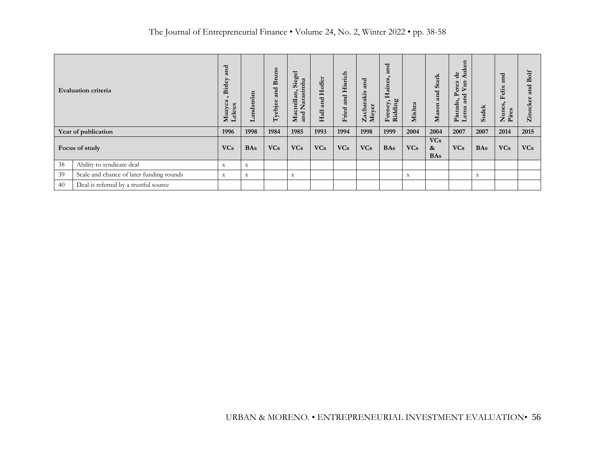|    | <b>Evaluation criteria</b>               | and<br>Birley<br>ω<br>Muzyc<br>$\bf x$<br>$\overline{ }$ | andström<br>ᆜ | Bruno<br>and<br>Tyebjee | Siegel<br>arasimha<br>$\bullet$<br>millan,<br>⇁<br>$\leftarrow$<br>Mac<br>and | Hoffe:<br>and<br>Hall | Hisrich<br>and<br>Fried | and<br>Zacharakis<br>Meyer | and<br>Haines<br>Ridding<br>Feeney, | Mishra      | <b>Stark</b><br>and<br>Mason                  | d<br>d.<br>Ě<br>$\ddot{d}$<br>◀<br>erez<br>$\mathbf{a}$<br>⊳<br>≏<br>ರ<br>an<br>$\bullet$<br>Pintado<br>ema | <b>Sudek</b> | ರ<br>Ē<br>elix<br>L.<br>Nune<br>Pires | ð<br>B<br>ರ<br>성<br>$\mathbb{Z}$ in |
|----|------------------------------------------|----------------------------------------------------------|---------------|-------------------------|-------------------------------------------------------------------------------|-----------------------|-------------------------|----------------------------|-------------------------------------|-------------|-----------------------------------------------|-------------------------------------------------------------------------------------------------------------|--------------|---------------------------------------|-------------------------------------|
|    | Year of publication                      | 1996                                                     | 1998          | 1984                    | 1985                                                                          | 1993                  | 1994                    | 1998                       | 1999                                | 2004        | 2004                                          | 2007                                                                                                        | 2007         | 2014                                  | 2015                                |
|    | Focus of study                           | <b>VCs</b>                                               | <b>BAs</b>    | <b>VCs</b>              | <b>VCs</b>                                                                    | <b>VCs</b>            | <b>VCs</b>              | <b>VCs</b>                 | <b>BAs</b>                          | <b>VCs</b>  | <b>VCs</b><br>$\boldsymbol{\&}$<br><b>BAs</b> | <b>VCs</b>                                                                                                  | <b>BAs</b>   | <b>VCs</b>                            | <b>VCs</b>                          |
| 38 | Ability to syndicate deal                | $\mathbf X$                                              | $\mathbf X$   |                         |                                                                               |                       |                         |                            |                                     |             |                                               |                                                                                                             |              |                                       |                                     |
| 39 | Scale and chance of later funding rounds | $\mathbf X$                                              | $\mathbf X$   |                         | X                                                                             |                       |                         |                            |                                     | $\mathbf X$ |                                               |                                                                                                             | $\mathbf X$  |                                       |                                     |
| 40 | Deal is referred by a trustful source    |                                                          |               |                         |                                                                               |                       |                         |                            |                                     |             |                                               |                                                                                                             |              |                                       |                                     |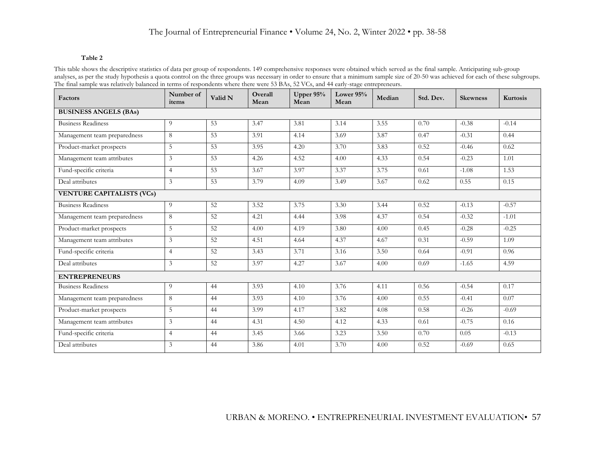#### **Table 2**

This table shows the descriptive statistics of data per group of respondents. 149 comprehensive responses were obtained which served as the final sample. Anticipating sub-group analyses, as per the study hypothesis a quota control on the three groups was necessary in order to ensure that a minimum sample size of 20-50 was achieved for each of these subgroups. The final sample was relatively balanced in terms of respondents where there were 53 BAs, 52 VCs, and 44 early-stage entrepreneurs.

| Factors                          | Number of<br>items | Valid N | Overall<br>Mean | Upper 95%<br>Mean | Lower 95%<br>Mean | Median | Std. Dev. | <b>Skewness</b> | Kurtosis |  |
|----------------------------------|--------------------|---------|-----------------|-------------------|-------------------|--------|-----------|-----------------|----------|--|
| <b>BUSINESS ANGELS (BAs)</b>     |                    |         |                 |                   |                   |        |           |                 |          |  |
| <b>Business Readiness</b>        | 9                  | 53      | 3.47            | 3.81              | 3.14              | 3.55   | 0.70      | $-0.38$         | $-0.14$  |  |
| Management team preparedness     | 8                  | 53      | 3.91            | 4.14              | 3.69              | 3.87   | 0.47      | $-0.31$         | 0.44     |  |
| Product-market prospects         | 5                  | 53      | 3.95            | 4.20              | 3.70              | 3.83   | 0.52      | $-0.46$         | 0.62     |  |
| Management team attributes       | 3                  | 53      | 4.26            | 4.52              | 4.00              | 4.33   | 0.54      | $-0.23$         | 1.01     |  |
| Fund-specific criteria           | $\overline{4}$     | 53      | 3.67            | 3.97              | 3.37              | 3.75   | 0.61      | $-1.08$         | 1.53     |  |
| Deal attributes                  | $\overline{3}$     | 53      | 3.79            | 4.09              | 3.49              | 3.67   | 0.62      | 0.55            | 0.15     |  |
| <b>VENTURE CAPITALISTS (VCs)</b> |                    |         |                 |                   |                   |        |           |                 |          |  |
| <b>Business Readiness</b>        | 9                  | 52      | 3.52            | 3.75              | 3.30              | 3.44   | 0.52      | $-0.13$         | $-0.57$  |  |
| Management team preparedness     | 8                  | 52      | 4.21            | 4.44              | 3.98              | 4.37   | 0.54      | $-0.32$         | $-1.01$  |  |
| Product-market prospects         | 5                  | 52      | 4.00            | 4.19              | 3.80              | 4.00   | 0.45      | $-0.28$         | $-0.25$  |  |
| Management team attributes       | 3                  | 52      | 4.51            | 4.64              | 4.37              | 4.67   | 0.31      | $-0.59$         | 1.09     |  |
| Fund-specific criteria           | $\overline{4}$     | 52      | 3.43            | 3.71              | 3.16              | 3.50   | 0.64      | $-0.91$         | 0.96     |  |
| Deal attributes                  | $\mathfrak{Z}$     | 52      | 3.97            | 4.27              | 3.67              | 4.00   | 0.69      | $-1.65$         | 4.59     |  |
| <b>ENTREPRENEURS</b>             |                    |         |                 |                   |                   |        |           |                 |          |  |
| <b>Business Readiness</b>        | 9                  | 44      | 3.93            | 4.10              | 3.76              | 4.11   | 0.56      | $-0.54$         | 0.17     |  |
| Management team preparedness     | 8                  | 44      | 3.93            | 4.10              | 3.76              | 4.00   | 0.55      | $-0.41$         | 0.07     |  |
| Product-market prospects         | 5                  | 44      | 3.99            | 4.17              | 3.82              | 4.08   | 0.58      | $-0.26$         | $-0.69$  |  |
| Management team attributes       | 3                  | 44      | 4.31            | 4.50              | 4.12              | 4.33   | 0.61      | $-0.75$         | 0.16     |  |
| Fund-specific criteria           | $\overline{4}$     | 44      | 3.45            | 3.66              | 3.23              | 3.50   | 0.70      | 0.05            | $-0.13$  |  |
| Deal attributes                  | $\overline{3}$     | 44      | 3.86            | 4.01              | 3.70              | 4.00   | 0.52      | $-0.69$         | 0.65     |  |